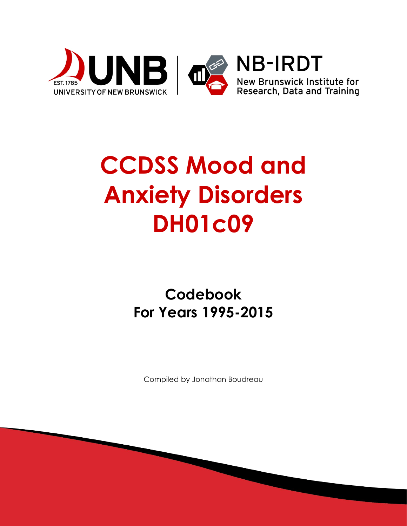

# **CCDSS Mood and Anxiety Disorders DH01c09**

# **Codebook For Years 1995-2015**

Compiled by Jonathan Boudreau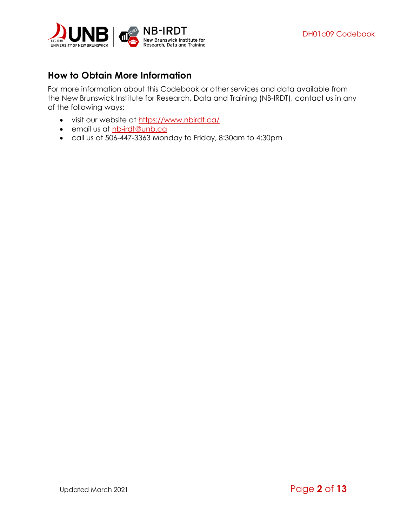

# <span id="page-1-0"></span>**How to Obtain More Information**

For more information about this Codebook or other services and data available from the New Brunswick Institute for Research, Data and Training (NB-IRDT), contact us in any of the following ways:

- visit our website at <https://www.nbirdt.ca/>
- email us at [nb-irdt@unb.ca](mailto:nb-irdt@unb.ca)
- call us at 506-447-3363 Monday to Friday, 8:30am to 4:30pm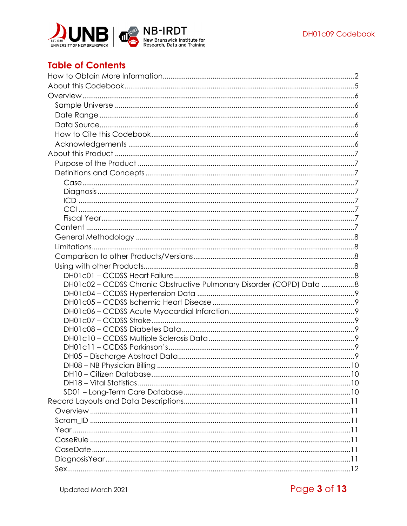

# **Table of Contents**

| DH01c02 - CCDSS Chronic Obstructive Pulmonary Disorder (COPD) Data 8 |  |
|----------------------------------------------------------------------|--|
|                                                                      |  |
|                                                                      |  |
|                                                                      |  |
|                                                                      |  |
|                                                                      |  |
|                                                                      |  |
|                                                                      |  |
|                                                                      |  |
|                                                                      |  |
|                                                                      |  |
|                                                                      |  |
|                                                                      |  |
|                                                                      |  |
|                                                                      |  |
|                                                                      |  |
|                                                                      |  |
|                                                                      |  |
|                                                                      |  |
|                                                                      |  |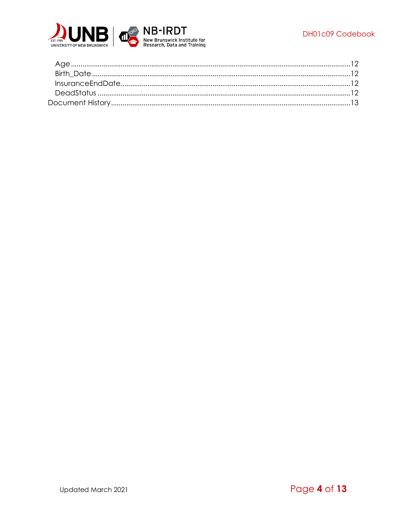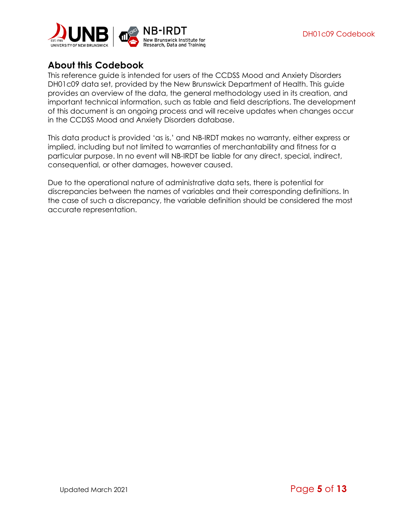

# <span id="page-4-0"></span>**About this Codebook**

This reference guide is intended for users of the CCDSS Mood and Anxiety Disorders DH01c09 data set, provided by the New Brunswick Department of Health. This guide provides an overview of the data, the general methodology used in its creation, and important technical information, such as table and field descriptions. The development of this document is an ongoing process and will receive updates when changes occur in the CCDSS Mood and Anxiety Disorders database.

This data product is provided 'as is,' and NB-IRDT makes no warranty, either express or implied, including but not limited to warranties of merchantability and fitness for a particular purpose. In no event will NB-IRDT be liable for any direct, special, indirect, consequential, or other damages, however caused.

Due to the operational nature of administrative data sets, there is potential for discrepancies between the names of variables and their corresponding definitions. In the case of such a discrepancy, the variable definition should be considered the most accurate representation.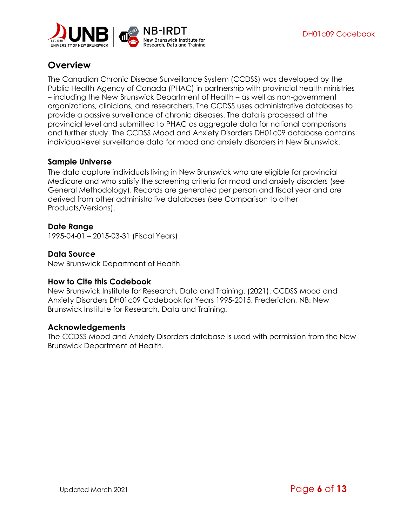

# <span id="page-5-0"></span>**Overview**

The Canadian Chronic Disease Surveillance System (CCDSS) was developed by the Public Health Agency of Canada (PHAC) in partnership with provincial health ministries – including the New Brunswick Department of Health – as well as non-government organizations, clinicians, and researchers. The CCDSS uses administrative databases to provide a passive surveillance of chronic diseases. The data is processed at the provincial level and submitted to PHAC as aggregate data for national comparisons and further study. The CCDSS Mood and Anxiety Disorders DH01c09 database contains individual-level surveillance data for mood and anxiety disorders in New Brunswick.

#### <span id="page-5-1"></span>**Sample Universe**

The data capture individuals living in New Brunswick who are eligible for provincial Medicare and who satisfy the screening criteria for mood and anxiety disorders (see [General Methodology\)](#page-7-0). Records are generated per person and fiscal year and are derived from other administrative databases (see [Comparison to other](#page-7-2)  [Products/Versions\)](#page-7-2).

#### <span id="page-5-2"></span>**Date Range**

1995-04-01 – 2015-03-31 (Fiscal Years)

#### <span id="page-5-3"></span>**Data Source**

New Brunswick Department of Health

#### <span id="page-5-4"></span>**How to Cite this Codebook**

New Brunswick Institute for Research, Data and Training. (2021). CCDSS Mood and Anxiety Disorders DH01c09 Codebook for Years 1995-2015. Fredericton, NB: New Brunswick Institute for Research, Data and Training.

#### <span id="page-5-5"></span>**Acknowledgements**

The CCDSS Mood and Anxiety Disorders database is used with permission from the New Brunswick Department of Health.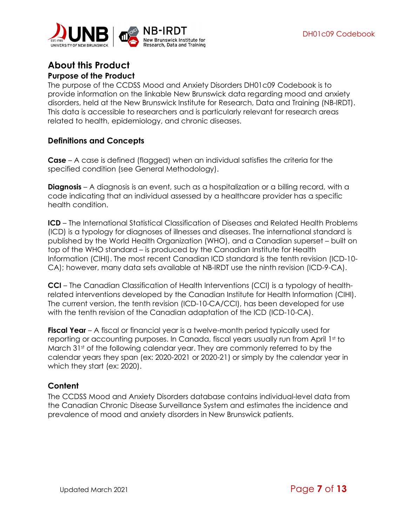

### <span id="page-6-1"></span><span id="page-6-0"></span>**About this Product Purpose of the Product**

The purpose of the CCDSS Mood and Anxiety Disorders DH01c09 Codebook is to provide information on the linkable New Brunswick data regarding mood and anxiety disorders, held at the New Brunswick Institute for Research, Data and Training (NB-IRDT). This data is accessible to researchers and is particularly relevant for research areas related to health, epidemiology, and chronic diseases.

#### <span id="page-6-2"></span>**Definitions and Concepts**

<span id="page-6-3"></span>**Case** – A case is defined (flagged) when an individual satisfies the criteria for the specified condition (see [General Methodology\)](#page-7-0).

<span id="page-6-4"></span>**Diagnosis** – A diagnosis is an event, such as a hospitalization or a billing record, with a code indicating that an individual assessed by a healthcare provider has a specific health condition.

<span id="page-6-5"></span>**ICD** – The International Statistical Classification of Diseases and Related Health Problems (ICD) is a typology for diagnoses of illnesses and diseases. The international standard is published by the World Health Organization (WHO), and a Canadian superset – built on top of the WHO standard – is produced by the Canadian Institute for Health Information (CIHI). The most recent Canadian ICD standard is the tenth revision (ICD-10- CA); however, many data sets available at NB-IRDT use the ninth revision (ICD-9-CA).

<span id="page-6-6"></span>**CCI** – The Canadian Classification of Health Interventions (CCI) is a typology of healthrelated interventions developed by the Canadian Institute for Health Information (CIHI). The current version, the tenth revision (ICD-10-CA/CCI), has been developed for use with the tenth revision of the Canadian adaptation of the ICD (ICD-10-CA).

<span id="page-6-7"></span>**Fiscal Year** – A fiscal or financial year is a twelve-month period typically used for reporting or accounting purposes. In Canada, fiscal years usually run from April 1st to March  $31<sup>st</sup>$  of the following calendar year. They are commonly referred to by the calendar years they span (ex: 2020-2021 or 2020-21) or simply by the calendar year in which they start (ex: 2020).

#### <span id="page-6-8"></span>**Content**

The CCDSS Mood and Anxiety Disorders database contains individual-level data from the Canadian Chronic Disease Surveillance System and estimates the incidence and prevalence of mood and anxiety disorders in New Brunswick patients.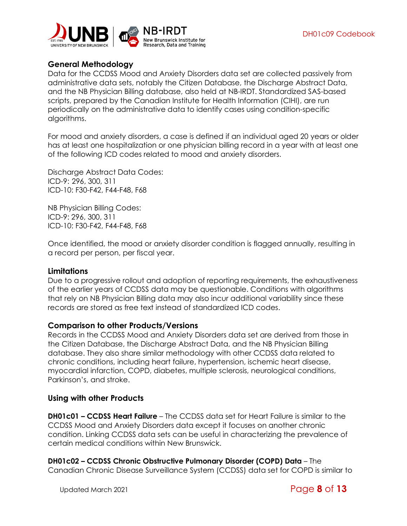

#### <span id="page-7-0"></span>**General Methodology**

Data for the CCDSS Mood and Anxiety Disorders data set are collected passively from administrative data sets, notably the Citizen Database, the Discharge Abstract Data, and the NB Physician Billing database, also held at NB-IRDT. Standardized SAS-based scripts, prepared by the Canadian Institute for Health Information (CIHI), are run periodically on the administrative data to identify cases using condition-specific algorithms.

For mood and anxiety disorders, a case is defined if an individual aged 20 years or older has at least one hospitalization or one physician billing record in a year with at least one of the following ICD codes related to mood and anxiety disorders.

Discharge Abstract Data Codes: ICD-9: 296, 300, 311 ICD-10: F30-F42, F44-F48, F68

NB Physician Billing Codes: ICD-9: 296, 300, 311 ICD-10: F30-F42, F44-F48, F68

Once identified, the mood or anxiety disorder condition is flagged annually, resulting in a record per person, per fiscal year.

#### <span id="page-7-1"></span>**Limitations**

Due to a progressive rollout and adoption of reporting requirements, the exhaustiveness of the earlier years of CCDSS data may be questionable. Conditions with algorithms that rely on NB Physician Billing data may also incur additional variability since these records are stored as free text instead of standardized ICD codes.

#### <span id="page-7-2"></span>**Comparison to other Products/Versions**

Records in the CCDSS Mood and Anxiety Disorders data set are derived from those in the Citizen Database, the Discharge Abstract Data, and the NB Physician Billing database. They also share similar methodology with other CCDSS data related to chronic conditions, including heart failure, hypertension, ischemic heart disease, myocardial infarction, COPD, diabetes, multiple sclerosis, neurological conditions, Parkinson's, and stroke.

#### <span id="page-7-3"></span>**Using with other Products**

<span id="page-7-4"></span>**DH01c01 – CCDSS Heart Failure** – The CCDSS data set for Heart Failure is similar to the CCDSS Mood and Anxiety Disorders data except it focuses on another chronic condition. Linking CCDSS data sets can be useful in characterizing the prevalence of certain medical conditions within New Brunswick.

<span id="page-7-5"></span>**DH01c02 – CCDSS Chronic Obstructive Pulmonary Disorder (COPD) Data** – The Canadian Chronic Disease Surveillance System (CCDSS) data set for COPD is similar to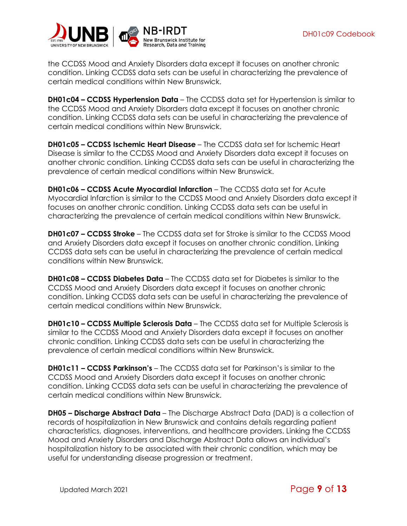

the CCDSS Mood and Anxiety Disorders data except it focuses on another chronic condition. Linking CCDSS data sets can be useful in characterizing the prevalence of certain medical conditions within New Brunswick.

<span id="page-8-0"></span>**DH01c04 – CCDSS Hypertension Data** – The CCDSS data set for Hypertension is similar to the CCDSS Mood and Anxiety Disorders data except it focuses on another chronic condition. Linking CCDSS data sets can be useful in characterizing the prevalence of certain medical conditions within New Brunswick.

<span id="page-8-1"></span>**DH01c05 – CCDSS Ischemic Heart Disease** – The CCDSS data set for Ischemic Heart Disease is similar to the CCDSS Mood and Anxiety Disorders data except it focuses on another chronic condition. Linking CCDSS data sets can be useful in characterizing the prevalence of certain medical conditions within New Brunswick.

<span id="page-8-2"></span>**DH01c06 – CCDSS Acute Myocardial Infarction** – The CCDSS data set for Acute Myocardial Infarction is similar to the CCDSS Mood and Anxiety Disorders data except it focuses on another chronic condition. Linking CCDSS data sets can be useful in characterizing the prevalence of certain medical conditions within New Brunswick.

<span id="page-8-3"></span>**DH01c07 – CCDSS Stroke** – The CCDSS data set for Stroke is similar to the CCDSS Mood and Anxiety Disorders data except it focuses on another chronic condition. Linking CCDSS data sets can be useful in characterizing the prevalence of certain medical conditions within New Brunswick.

<span id="page-8-4"></span>**DH01c08 – CCDSS Diabetes Data** – The CCDSS data set for Diabetes is similar to the CCDSS Mood and Anxiety Disorders data except it focuses on another chronic condition. Linking CCDSS data sets can be useful in characterizing the prevalence of certain medical conditions within New Brunswick.

<span id="page-8-5"></span>**DH01c10 – CCDSS Multiple Sclerosis Data** – The CCDSS data set for Multiple Sclerosis is similar to the CCDSS Mood and Anxiety Disorders data except it focuses on another chronic condition. Linking CCDSS data sets can be useful in characterizing the prevalence of certain medical conditions within New Brunswick.

<span id="page-8-6"></span>**DH01c11 – CCDSS Parkinson's** – The CCDSS data set for Parkinson's is similar to the CCDSS Mood and Anxiety Disorders data except it focuses on another chronic condition. Linking CCDSS data sets can be useful in characterizing the prevalence of certain medical conditions within New Brunswick.

<span id="page-8-7"></span>**DH05 – Discharge Abstract Data** – The Discharge Abstract Data (DAD) is a collection of records of hospitalization in New Brunswick and contains details regarding patient characteristics, diagnoses, interventions, and healthcare providers. Linking the CCDSS Mood and Anxiety Disorders and Discharge Abstract Data allows an individual's hospitalization history to be associated with their chronic condition, which may be useful for understanding disease progression or treatment.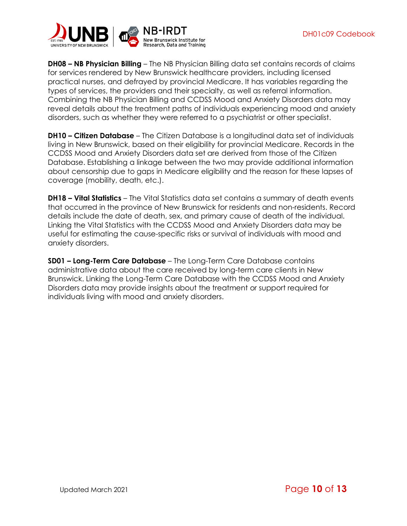

<span id="page-9-0"></span>**DH08 – NB Physician Billing** – The NB Physician Billing data set contains records of claims for services rendered by New Brunswick healthcare providers, including licensed practical nurses, and defrayed by provincial Medicare. It has variables regarding the types of services, the providers and their specialty, as well as referral information. Combining the NB Physician Billing and CCDSS Mood and Anxiety Disorders data may reveal details about the treatment paths of individuals experiencing mood and anxiety disorders, such as whether they were referred to a psychiatrist or other specialist.

<span id="page-9-1"></span>**DH10 – Citizen Database** – The Citizen Database is a longitudinal data set of individuals living in New Brunswick, based on their eligibility for provincial Medicare. Records in the CCDSS Mood and Anxiety Disorders data set are derived from those of the Citizen Database. Establishing a linkage between the two may provide additional information about censorship due to gaps in Medicare eligibility and the reason for these lapses of coverage (mobility, death, etc.).

<span id="page-9-2"></span>**DH18 – Vital Statistics** – The Vital Statistics data set contains a summary of death events that occurred in the province of New Brunswick for residents and non-residents. Record details include the date of death, sex, and primary cause of death of the individual. Linking the Vital Statistics with the CCDSS Mood and Anxiety Disorders data may be useful for estimating the cause-specific risks or survival of individuals with mood and anxiety disorders.

<span id="page-9-3"></span>**SD01 – Long-Term Care Database** – The Long-Term Care Database contains administrative data about the care received by long-term care clients in New Brunswick. Linking the Long-Term Care Database with the CCDSS Mood and Anxiety Disorders data may provide insights about the treatment or support required for individuals living with mood and anxiety disorders.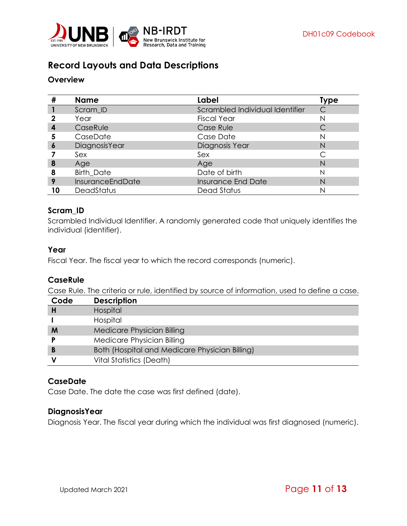

# <span id="page-10-0"></span>**Record Layouts and Data Descriptions**

#### <span id="page-10-1"></span>**Overview**

| #  | <b>Name</b>       | Label                           | Type         |
|----|-------------------|---------------------------------|--------------|
|    | Scram ID          | Scrambled Individual Identifier | $\mathsf{C}$ |
| 2  | Year              | <b>Fiscal Year</b>              | N            |
| 4  | CaseRule          | Case Rule                       |              |
| 5  | CaseDate          | Case Date                       | N            |
| 6  | DiagnosisYear     | Diagnosis Year                  | N            |
|    | Sex               | Sex                             |              |
| 8  | Age               | Age                             | N            |
| 8  | <b>Birth Date</b> | Date of birth                   | N            |
| 9  | InsuranceEndDate  | <b>Insurance End Date</b>       | N            |
| 10 | DeadStatus        | Dead Status                     |              |

#### <span id="page-10-2"></span>**Scram\_ID**

Scrambled Individual Identifier. A randomly generated code that uniquely identifies the individual (identifier).

#### <span id="page-10-3"></span>**Year**

Fiscal Year. The fiscal year to which the record corresponds (numeric).

#### <span id="page-10-4"></span>**CaseRule**

Case Rule. The criteria or rule, identified by source of information, used to define a case.

| Code | <b>Description</b>                             |
|------|------------------------------------------------|
| H    | Hospital                                       |
|      | Hospital                                       |
| M    | Medicare Physician Billing                     |
|      | Medicare Physician Billing                     |
| B    | Both (Hospital and Medicare Physician Billing) |
|      | Vital Statistics (Death)                       |

#### <span id="page-10-5"></span>**CaseDate**

Case Date. The date the case was first defined (date).

#### <span id="page-10-6"></span>**DiagnosisYear**

Diagnosis Year. The fiscal year during which the individual was first diagnosed (numeric).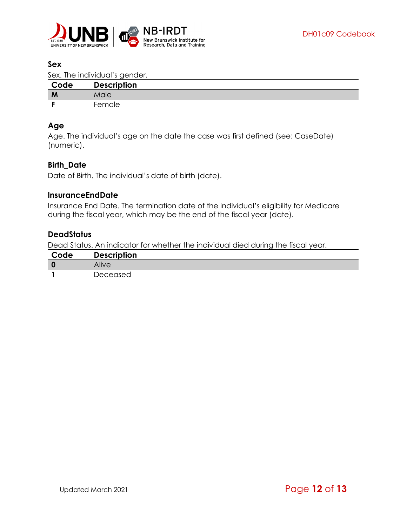

#### <span id="page-11-0"></span>**Sex**

Sex. The individual's gender.

| Code | <b>Description</b> |
|------|--------------------|
| M    | Male               |
|      | Female             |

#### <span id="page-11-1"></span>**Age**

Age. The individual's age on the date the case was first defined (see: [CaseDate\)](#page-10-5) (numeric).

#### <span id="page-11-2"></span>**Birth\_Date**

Date of Birth. The individual's date of birth (date).

#### <span id="page-11-3"></span>**lnsuranceEndDate**

Insurance End Date. The termination date of the individual's eligibility for Medicare during the fiscal year, which may be the end of the fiscal year (date).

#### <span id="page-11-4"></span>**DeadStatus**

Dead Status. An indicator for whether the individual died during the fiscal year.

| Code | <b>Description</b> |
|------|--------------------|
|      | Alive              |
|      | Deceased           |